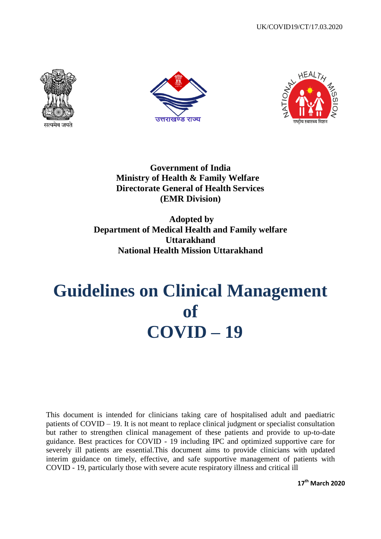





**Government of India Ministry of Health & Family Welfare Directorate General of Health Services (EMR Division)**

**Adopted by Department of Medical Health and Family welfare Uttarakhand National Health Mission Uttarakhand**

# **Guidelines on Clinical Management of COVID – 19**

This document is intended for clinicians taking care of hospitalised adult and paediatric patients of COVID – 19. It is not meant to replace clinical judgment or specialist consultation but rather to strengthen clinical management of these patients and provide to up-to-date guidance. Best practices for COVID - 19 including IPC and optimized supportive care for severely ill patients are essential.This document aims to provide clinicians with updated interim guidance on timely, effective, and safe supportive management of patients with COVID - 19, particularly those with severe acute respiratory illness and critical ill

**17th March 2020**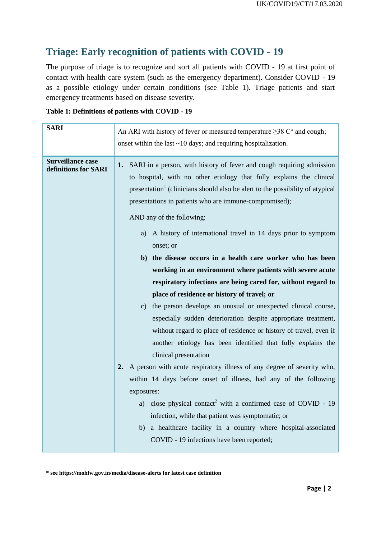# **Triage: Early recognition of patients with COVID - 19**

The purpose of triage is to recognize and sort all patients with COVID - 19 at first point of contact with health care system (such as the emergency department). Consider COVID - 19 as a possible etiology under certain conditions (see Table 1). Triage patients and start emergency treatments based on disease severity.

| Table 1: Definitions of patients with COVID - 19 |  |  |  |  |  |
|--------------------------------------------------|--|--|--|--|--|
|--------------------------------------------------|--|--|--|--|--|

| <b>SARI</b>                                      | An ARI with history of fever or measured temperature $\geq$ 38 C° and cough;<br>onset within the last $\sim$ 10 days; and requiring hospitalization.                                                                                                                                                                                                                                                                                                                                                                                                                                                                                                                                                                                                                                                                                                                                                                                                                               |  |
|--------------------------------------------------|------------------------------------------------------------------------------------------------------------------------------------------------------------------------------------------------------------------------------------------------------------------------------------------------------------------------------------------------------------------------------------------------------------------------------------------------------------------------------------------------------------------------------------------------------------------------------------------------------------------------------------------------------------------------------------------------------------------------------------------------------------------------------------------------------------------------------------------------------------------------------------------------------------------------------------------------------------------------------------|--|
| <b>Surveillance case</b><br>definitions for SARI | SARI in a person, with history of fever and cough requiring admission<br>1.<br>to hospital, with no other etiology that fully explains the clinical<br>presentation <sup>1</sup> (clinicians should also be alert to the possibility of atypical<br>presentations in patients who are immune-compromised);<br>AND any of the following:<br>A history of international travel in 14 days prior to symptom<br>a)<br>onset; or<br>b) the disease occurs in a health care worker who has been<br>working in an environment where patients with severe acute<br>respiratory infections are being cared for, without regard to<br>place of residence or history of travel; or<br>c) the person develops an unusual or unexpected clinical course,<br>especially sudden deterioration despite appropriate treatment,<br>without regard to place of residence or history of travel, even if<br>another etiology has been identified that fully explains the<br>clinical presentation<br>2. |  |
|                                                  | A person with acute respiratory illness of any degree of severity who,<br>within 14 days before onset of illness, had any of the following<br>exposures:<br>a) close physical contact <sup>2</sup> with a confirmed case of COVID - 19<br>infection, while that patient was symptomatic; or<br>a healthcare facility in a country where hospital-associated<br>b)<br>COVID - 19 infections have been reported;                                                                                                                                                                                                                                                                                                                                                                                                                                                                                                                                                                     |  |

**\* see https://mohfw.gov.in/media/disease-alerts for latest case definition**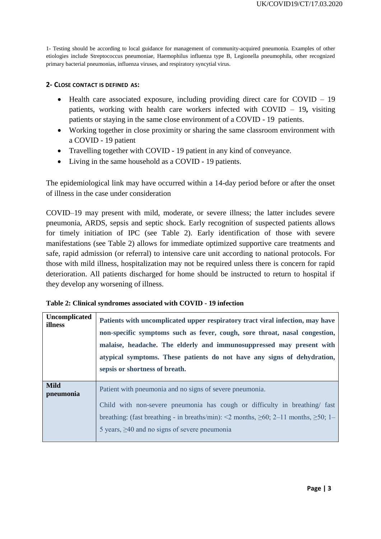1- Testing should be according to local guidance for management of community-acquired pneumonia. Examples of other etiologies include Streptococcus pneumoniae, Haemophilus influenza type B, Legionella pneumophila, other recognized primary bacterial pneumonias, influenza viruses, and respiratory syncytial virus.

#### **2- CLOSE CONTACT IS DEFINED AS:**

- Health care associated exposure, including providing direct care for COVID 19 patients, working with health care workers infected with COVID – 19**,** visiting patients or staying in the same close environment of a COVID - 19 patients.
- Working together in close proximity or sharing the same classroom environment with a COVID - 19 patient
- Travelling together with COVID 19 patient in any kind of conveyance.
- Living in the same household as a COVID 19 patients.

The epidemiological link may have occurred within a 14-day period before or after the onset of illness in the case under consideration

COVID–19 may present with mild, moderate, or severe illness; the latter includes severe pneumonia, ARDS, sepsis and septic shock. Early recognition of suspected patients allows for timely initiation of IPC (see Table 2). Early identification of those with severe manifestations (see Table 2) allows for immediate optimized supportive care treatments and safe, rapid admission (or referral) to intensive care unit according to national protocols. For those with mild illness, hospitalization may not be required unless there is concern for rapid deterioration. All patients discharged for home should be instructed to return to hospital if they develop any worsening of illness.

| Uncomplicated<br>illness | Patients with uncomplicated upper respiratory tract viral infection, may have<br>non-specific symptoms such as fever, cough, sore throat, nasal congestion,<br>malaise, headache. The elderly and immunosuppressed may present with<br>atypical symptoms. These patients do not have any signs of dehydration,<br>sepsis or shortness of breath. |
|--------------------------|--------------------------------------------------------------------------------------------------------------------------------------------------------------------------------------------------------------------------------------------------------------------------------------------------------------------------------------------------|
| <b>Mild</b><br>pneumonia | Patient with pneumonia and no signs of severe pneumonia.<br>Child with non-severe pneumonia has cough or difficulty in breathing/ fast<br>breathing: (fast breathing - in breaths/min): <2 months, $\geq 60$ ; 2–11 months, $\geq 50$ ; 1–<br>5 years, $\geq$ 40 and no signs of severe pneumonia                                                |

|  | Table 2: Clinical syndromes associated with COVID - 19 infection |  |  |  |
|--|------------------------------------------------------------------|--|--|--|
|--|------------------------------------------------------------------|--|--|--|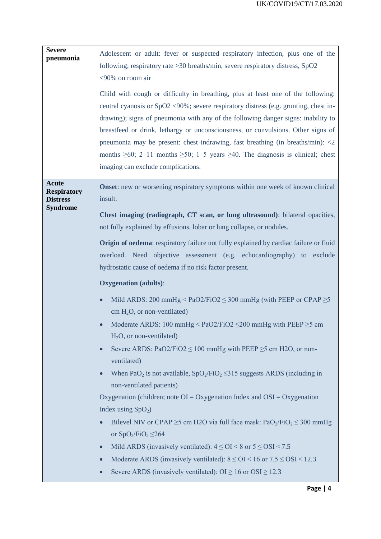| <b>Severe</b><br>pneumonia                                               | Adolescent or adult: fever or suspected respiratory infection, plus one of the<br>following; respiratory rate > 30 breaths/min, severe respiratory distress, SpO2<br><90% on room air<br>Child with cough or difficulty in breathing, plus at least one of the following:<br>central cyanosis or $SpO2 \le 90\%$ ; severe respiratory distress (e.g. grunting, chest in-<br>drawing); signs of pneumonia with any of the following danger signs: inability to<br>breastfeed or drink, lethargy or unconsciousness, or convulsions. Other signs of<br>pneumonia may be present: chest indrawing, fast breathing (in breaths/min): $\langle 2 \rangle$<br>months $\geq 60$ ; 2-11 months $\geq 50$ ; 1-5 years $\geq 40$ . The diagnosis is clinical; chest<br>imaging can exclude complications.                                                                                                                                                                                                                                                                                                                                                                                                                                                                                                                                                                                                                                                                             |
|--------------------------------------------------------------------------|-----------------------------------------------------------------------------------------------------------------------------------------------------------------------------------------------------------------------------------------------------------------------------------------------------------------------------------------------------------------------------------------------------------------------------------------------------------------------------------------------------------------------------------------------------------------------------------------------------------------------------------------------------------------------------------------------------------------------------------------------------------------------------------------------------------------------------------------------------------------------------------------------------------------------------------------------------------------------------------------------------------------------------------------------------------------------------------------------------------------------------------------------------------------------------------------------------------------------------------------------------------------------------------------------------------------------------------------------------------------------------------------------------------------------------------------------------------------------------|
| <b>Acute</b><br><b>Respiratory</b><br><b>Distress</b><br><b>Syndrome</b> | <b>Onset:</b> new or worsening respiratory symptoms within one week of known clinical<br>insult.<br>Chest imaging (radiograph, CT scan, or lung ultrasound): bilateral opacities,<br>not fully explained by effusions, lobar or lung collapse, or nodules.<br><b>Origin of oedema:</b> respiratory failure not fully explained by cardiac failure or fluid<br>overload. Need objective assessment (e.g. echocardiography) to exclude<br>hydrostatic cause of oedema if no risk factor present.<br><b>Oxygenation</b> (adults):<br>Mild ARDS: 200 mmHg < PaO2/FiO2 $\leq$ 300 mmHg (with PEEP or CPAP $\geq$ 5<br>cm $H_2O$ , or non-ventilated)<br>Moderate ARDS: 100 mmHg < $PaO2/FiO2 \leq 200$ mmHg with PEEP $\geq 5$ cm<br>$H_2O$ , or non-ventilated)<br>Severe ARDS: PaO2/FiO2 $\leq$ 100 mmHg with PEEP $\geq$ 5 cm H2O, or non-<br>ventilated)<br>When PaO <sub>2</sub> is not available, $SpO_2/FiO_2 \le 315$ suggests ARDS (including in<br>non-ventilated patients)<br>Oxygenation (children; note $OI = Oxy$ genation Index and $OSI = Oxy$ genation<br>Index using $SpO2$ )<br>Bilevel NIV or CPAP $\geq$ 5 cm H2O via full face mask: PaO <sub>2</sub> /FiO <sub>2</sub> $\leq$ 300 mmHg<br>or $SpO_2/FiO_2 \leq 264$<br>Mild ARDS (invasively ventilated): $4 \leq OI < 8$ or $5 \leq OSI < 7.5$<br>Moderate ARDS (invasively ventilated): $8 \leq OI < 16$ or $7.5 \leq OSI < 12.3$<br>Severe ARDS (invasively ventilated): $OI \ge 16$ or $OSI \ge 12.3$ |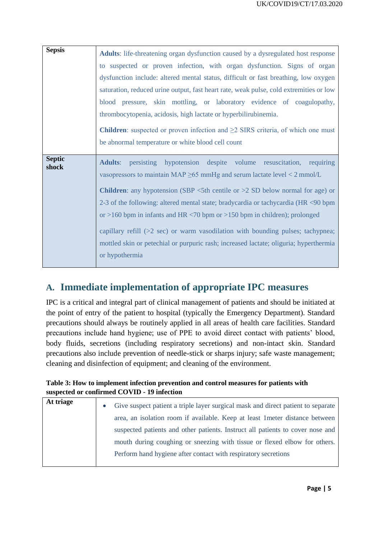| <b>Sepsis</b>          | <b>Adults:</b> life-threatening organ dysfunction caused by a dysregulated host response                                                                                                                                                                                                                                                                                                                                                                                                                                                                                                                                                                     |
|------------------------|--------------------------------------------------------------------------------------------------------------------------------------------------------------------------------------------------------------------------------------------------------------------------------------------------------------------------------------------------------------------------------------------------------------------------------------------------------------------------------------------------------------------------------------------------------------------------------------------------------------------------------------------------------------|
|                        | to suspected or proven infection, with organ dysfunction. Signs of organ                                                                                                                                                                                                                                                                                                                                                                                                                                                                                                                                                                                     |
|                        | dysfunction include: altered mental status, difficult or fast breathing, low oxygen                                                                                                                                                                                                                                                                                                                                                                                                                                                                                                                                                                          |
|                        | saturation, reduced urine output, fast heart rate, weak pulse, cold extremities or low                                                                                                                                                                                                                                                                                                                                                                                                                                                                                                                                                                       |
|                        | blood pressure, skin mottling, or laboratory evidence of coagulopathy,                                                                                                                                                                                                                                                                                                                                                                                                                                                                                                                                                                                       |
|                        | thrombocytopenia, acidosis, high lactate or hyperbilirubinemia.                                                                                                                                                                                                                                                                                                                                                                                                                                                                                                                                                                                              |
|                        | <b>Children</b> : suspected or proven infection and $\geq 2$ SIRS criteria, of which one must<br>be abnormal temperature or white blood cell count                                                                                                                                                                                                                                                                                                                                                                                                                                                                                                           |
| <b>Septic</b><br>shock | persisting hypotension despite volume resuscitation, requiring<br><b>Adults:</b><br>vasopressors to maintain MAP $\geq$ 65 mmHg and serum lactate level < 2 mmol/L<br><b>Children:</b> any hypotension (SBP $\lt$ 5th centile or $>$ 2 SD below normal for age) or<br>2-3 of the following: altered mental state; bradycardia or tachycardia (HR <90 bpm<br>or >160 bpm in infants and HR $\langle 70 \text{ bpm} \rangle$ or >150 bpm in children); prolonged<br>capillary refill (>2 sec) or warm vasodilation with bounding pulses; tachypnea;<br>mottled skin or petechial or purpuric rash; increased lactate; oliguria; hyperthermia<br>or hypothermia |

## **A. Immediate implementation of appropriate IPC measures**

IPC is a critical and integral part of clinical management of patients and should be initiated at the point of entry of the patient to hospital (typically the Emergency Department). Standard precautions should always be routinely applied in all areas of health care facilities. Standard precautions include hand hygiene; use of PPE to avoid direct contact with patients' blood, body fluids, secretions (including respiratory secretions) and non-intact skin. Standard precautions also include prevention of needle-stick or sharps injury; safe waste management; cleaning and disinfection of equipment; and cleaning of the environment.

#### **Table 3: How to implement infection prevention and control measures for patients with suspected or confirmed COVID - 19 infection**

| At triage | Give suspect patient a triple layer surgical mask and direct patient to separate<br>$\bullet$ |
|-----------|-----------------------------------------------------------------------------------------------|
|           | area, an isolation room if available. Keep at least 1 meter distance between                  |
|           | suspected patients and other patients. Instruct all patients to cover nose and                |
|           | mouth during coughing or sneezing with tissue or flexed elbow for others.                     |
|           | Perform hand hygiene after contact with respiratory secretions                                |
|           |                                                                                               |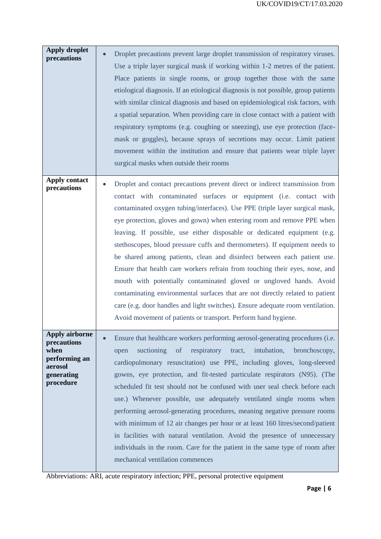| <b>Apply droplet</b><br>precautions                                                          | Droplet precautions prevent large droplet transmission of respiratory viruses.<br>Use a triple layer surgical mask if working within 1-2 metres of the patient.<br>Place patients in single rooms, or group together those with the same<br>etiological diagnosis. If an etiological diagnosis is not possible, group patients<br>with similar clinical diagnosis and based on epidemiological risk factors, with<br>a spatial separation. When providing care in close contact with a patient with<br>respiratory symptoms (e.g. coughing or sneezing), use eye protection (face-<br>mask or goggles), because sprays of secretions may occur. Limit patient<br>movement within the institution and ensure that patients wear triple layer<br>surgical masks when outside their rooms                                                                                                                                                         |
|----------------------------------------------------------------------------------------------|------------------------------------------------------------------------------------------------------------------------------------------------------------------------------------------------------------------------------------------------------------------------------------------------------------------------------------------------------------------------------------------------------------------------------------------------------------------------------------------------------------------------------------------------------------------------------------------------------------------------------------------------------------------------------------------------------------------------------------------------------------------------------------------------------------------------------------------------------------------------------------------------------------------------------------------------|
| <b>Apply contact</b><br>precautions                                                          | Droplet and contact precautions prevent direct or indirect transmission from<br>contact with contaminated surfaces or equipment (i.e. contact with<br>contaminated oxygen tubing/interfaces). Use PPE (triple layer surgical mask,<br>eye protection, gloves and gown) when entering room and remove PPE when<br>leaving. If possible, use either disposable or dedicated equipment (e.g.<br>stethoscopes, blood pressure cuffs and thermometers). If equipment needs to<br>be shared among patients, clean and disinfect between each patient use.<br>Ensure that health care workers refrain from touching their eyes, nose, and<br>mouth with potentially contaminated gloved or ungloved hands. Avoid<br>contaminating environmental surfaces that are not directly related to patient<br>care (e.g. door handles and light switches). Ensure adequate room ventilation.<br>Avoid movement of patients or transport. Perform hand hygiene. |
| Apply airborne<br>precautions<br>when<br>performing an<br>aerosol<br>generating<br>procedure | Ensure that healthcare workers performing aerosol-generating procedures (i.e.<br>suctioning<br>of<br>respiratory<br>intubation,<br>tract,<br>bronchoscopy,<br>open<br>cardiopulmonary resuscitation) use PPE, including gloves, long-sleeved<br>gowns, eye protection, and fit-tested particulate respirators (N95). (The<br>scheduled fit test should not be confused with user seal check before each<br>use.) Whenever possible, use adequately ventilated single rooms when<br>performing aerosol-generating procedures, meaning negative pressure rooms<br>with minimum of 12 air changes per hour or at least 160 litres/second/patient<br>in facilities with natural ventilation. Avoid the presence of unnecessary<br>individuals in the room. Care for the patient in the same type of room after<br>mechanical ventilation commences                                                                                                 |

Abbreviations: ARI, acute respiratory infection; PPE, personal protective equipment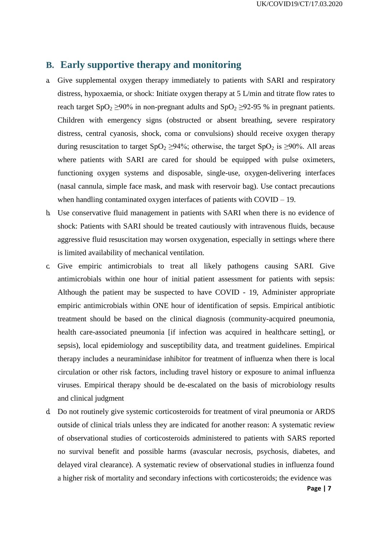## **B. Early supportive therapy and monitoring**

- a. Give supplemental oxygen therapy immediately to patients with SARI and respiratory distress, hypoxaemia, or shock: Initiate oxygen therapy at 5 L/min and titrate flow rates to reach target SpO<sub>2</sub>  $\geq$ 90% in non-pregnant adults and SpO<sub>2</sub>  $\geq$ 92-95 % in pregnant patients. Children with emergency signs (obstructed or absent breathing, severe respiratory distress, central cyanosis, shock, coma or convulsions) should receive oxygen therapy during resuscitation to target  $SpO<sub>2</sub> \ge 94\%$ ; otherwise, the target  $SpO<sub>2</sub>$  is  $\ge 90\%$ . All areas where patients with SARI are cared for should be equipped with pulse oximeters, functioning oxygen systems and disposable, single-use, oxygen-delivering interfaces (nasal cannula, simple face mask, and mask with reservoir bag). Use contact precautions when handling contaminated oxygen interfaces of patients with COVID – 19.
- b. Use conservative fluid management in patients with SARI when there is no evidence of shock: Patients with SARI should be treated cautiously with intravenous fluids, because aggressive fluid resuscitation may worsen oxygenation, especially in settings where there is limited availability of mechanical ventilation.
- c. Give empiric antimicrobials to treat all likely pathogens causing SARI. Give antimicrobials within one hour of initial patient assessment for patients with sepsis: Although the patient may be suspected to have COVID - 19, Administer appropriate empiric antimicrobials within ONE hour of identification of sepsis. Empirical antibiotic treatment should be based on the clinical diagnosis (community-acquired pneumonia, health care-associated pneumonia [if infection was acquired in healthcare setting], or sepsis), local epidemiology and susceptibility data, and treatment guidelines. Empirical therapy includes a neuraminidase inhibitor for treatment of influenza when there is local circulation or other risk factors, including travel history or exposure to animal influenza viruses. Empirical therapy should be de-escalated on the basis of microbiology results and clinical judgment
- d. Do not routinely give systemic corticosteroids for treatment of viral pneumonia or ARDS outside of clinical trials unless they are indicated for another reason: A systematic review of observational studies of corticosteroids administered to patients with SARS reported no survival benefit and possible harms (avascular necrosis, psychosis, diabetes, and delayed viral clearance). A systematic review of observational studies in influenza found a higher risk of mortality and secondary infections with corticosteroids; the evidence was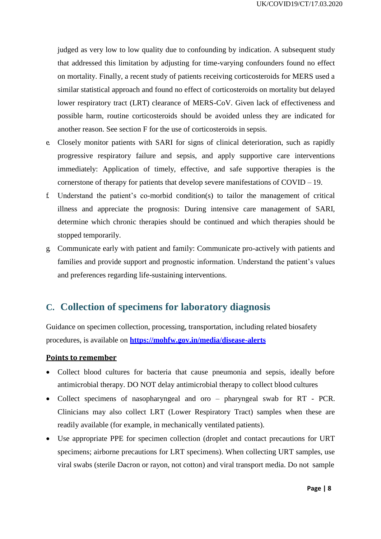judged as very low to low quality due to confounding by indication. A subsequent study that addressed this limitation by adjusting for time-varying confounders found no effect on mortality. Finally, a recent study of patients receiving corticosteroids for MERS used a similar statistical approach and found no effect of corticosteroids on mortality but delayed lower respiratory tract (LRT) clearance of MERS-CoV. Given lack of effectiveness and possible harm, routine corticosteroids should be avoided unless they are indicated for another reason. See section F for the use of corticosteroids in sepsis.

- e. Closely monitor patients with SARI for signs of clinical deterioration, such as rapidly progressive respiratory failure and sepsis, and apply supportive care interventions immediately: Application of timely, effective, and safe supportive therapies is the cornerstone of therapy for patients that develop severe manifestations of COVID – 19.
- f. Understand the patient's co-morbid condition(s) to tailor the management of critical illness and appreciate the prognosis: During intensive care management of SARI, determine which chronic therapies should be continued and which therapies should be stopped temporarily.
- g. Communicate early with patient and family: Communicate pro-actively with patients and families and provide support and prognostic information. Understand the patient's values and preferences regarding life-sustaining interventions.

## **C. Collection of specimens for laboratory diagnosis**

Guidance on specimen collection, processing, transportation, including related biosafety procedures, is available on **<https://mohfw.gov.in/media/disease-alerts>**

#### **Points to remember**

- Collect blood cultures for bacteria that cause pneumonia and sepsis, ideally before antimicrobial therapy. DO NOT delay antimicrobial therapy to collect blood cultures
- Collect specimens of nasopharyngeal and oro pharyngeal swab for RT PCR. Clinicians may also collect LRT (Lower Respiratory Tract) samples when these are readily available (for example, in mechanically ventilated patients).
- Use appropriate PPE for specimen collection (droplet and contact precautions for URT specimens; airborne precautions for LRT specimens). When collecting URT samples, use viral swabs (sterile Dacron or rayon, not cotton) and viral transport media. Do not sample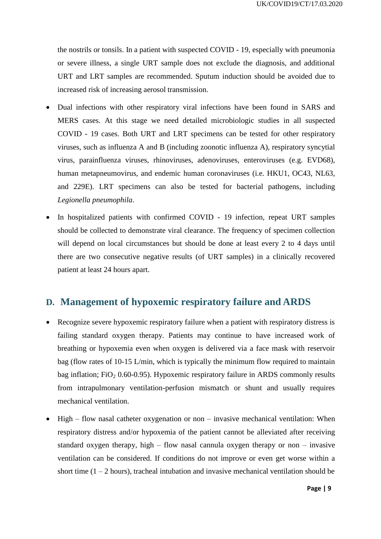the nostrils or tonsils. In a patient with suspected COVID - 19, especially with pneumonia or severe illness, a single URT sample does not exclude the diagnosis, and additional URT and LRT samples are recommended. Sputum induction should be avoided due to increased risk of increasing aerosol transmission.

- Dual infections with other respiratory viral infections have been found in SARS and MERS cases. At this stage we need detailed microbiologic studies in all suspected COVID - 19 cases. Both URT and LRT specimens can be tested for other respiratory viruses, such as influenza A and B (including zoonotic influenza A), respiratory syncytial virus, parainfluenza viruses, rhinoviruses, adenoviruses, enteroviruses (e.g. EVD68), human metapneumovirus, and endemic human coronaviruses (i.e. HKU1, OC43, NL63, and 229E). LRT specimens can also be tested for bacterial pathogens, including *Legionella pneumophila*.
- In hospitalized patients with confirmed COVID 19 infection, repeat URT samples should be collected to demonstrate viral clearance. The frequency of specimen collection will depend on local circumstances but should be done at least every 2 to 4 days until there are two consecutive negative results (of URT samples) in a clinically recovered patient at least 24 hours apart.

## **D. Management of hypoxemic respiratory failure and ARDS**

- Recognize severe hypoxemic respiratory failure when a patient with respiratory distress is failing standard oxygen therapy. Patients may continue to have increased work of breathing or hypoxemia even when oxygen is delivered via a face mask with reservoir bag (flow rates of 10-15 L/min, which is typically the minimum flow required to maintain bag inflation;  $FiO<sub>2</sub> 0.60-0.95$ ). Hypoxemic respiratory failure in ARDS commonly results from intrapulmonary ventilation-perfusion mismatch or shunt and usually requires mechanical ventilation.
- High flow nasal catheter oxygenation or non invasive mechanical ventilation: When respiratory distress and/or hypoxemia of the patient cannot be alleviated after receiving standard oxygen therapy, high – flow nasal cannula oxygen therapy or non – invasive ventilation can be considered. If conditions do not improve or even get worse within a short time  $(1 – 2$  hours), tracheal intubation and invasive mechanical ventilation should be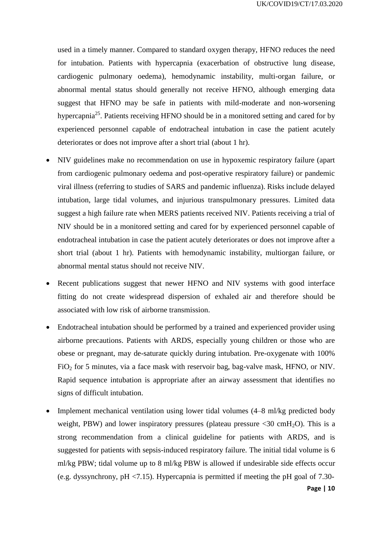used in a timely manner. Compared to standard oxygen therapy, HFNO reduces the need for intubation. Patients with hypercapnia (exacerbation of obstructive lung disease, cardiogenic pulmonary oedema), hemodynamic instability, multi-organ failure, or abnormal mental status should generally not receive HFNO, although emerging data suggest that HFNO may be safe in patients with mild-moderate and non-worsening hypercapnia<sup>25</sup>. Patients receiving HFNO should be in a monitored setting and cared for by experienced personnel capable of endotracheal intubation in case the patient acutely deteriorates or does not improve after a short trial (about 1 hr).

- NIV guidelines make no recommendation on use in hypoxemic respiratory failure (apart from cardiogenic pulmonary oedema and post-operative respiratory failure) or pandemic viral illness (referring to studies of SARS and pandemic influenza). Risks include delayed intubation, large tidal volumes, and injurious transpulmonary pressures. Limited data suggest a high failure rate when MERS patients received NIV. Patients receiving a trial of NIV should be in a monitored setting and cared for by experienced personnel capable of endotracheal intubation in case the patient acutely deteriorates or does not improve after a short trial (about 1 hr). Patients with hemodynamic instability, multiorgan failure, or abnormal mental status should not receive NIV.
- Recent publications suggest that newer HFNO and NIV systems with good interface fitting do not create widespread dispersion of exhaled air and therefore should be associated with low risk of airborne transmission.
- Endotracheal intubation should be performed by a trained and experienced provider using airborne precautions. Patients with ARDS, especially young children or those who are obese or pregnant, may de-saturate quickly during intubation. Pre-oxygenate with 100% FiO<sup>2</sup> for 5 minutes, via a face mask with reservoir bag, bag-valve mask, HFNO, or NIV. Rapid sequence intubation is appropriate after an airway assessment that identifies no signs of difficult intubation.
- Implement mechanical ventilation using lower tidal volumes (4–8 ml/kg predicted body weight, PBW) and lower inspiratory pressures (plateau pressure  $\langle 30 \text{ cm} H_2O \rangle$ ). This is a strong recommendation from a clinical guideline for patients with ARDS, and is suggested for patients with sepsis-induced respiratory failure. The initial tidal volume is 6 ml/kg PBW; tidal volume up to 8 ml/kg PBW is allowed if undesirable side effects occur (e.g. dyssynchrony, pH <7.15). Hypercapnia is permitted if meeting the pH goal of 7.30-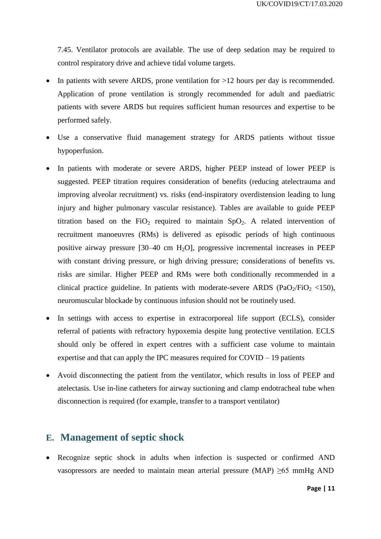7.45. Ventilator protocols are available. The use of deep sedation may be required to control respiratory drive and achieve tidal volume targets.

- In patients with severe ARDS, prone ventilation for >12 hours per day is recommended. Application of prone ventilation is strongly recommended for adult and paediatric patients with severe ARDS but requires sufficient human resources and expertise to be performed safely.
- Use a conservative fluid management strategy for ARDS patients without tissue hypoperfusion.
- In patients with moderate or severe ARDS, higher PEEP instead of lower PEEP is suggested. PEEP titration requires consideration of benefits (reducing atelectrauma and improving alveolar recruitment) vs. risks (end-inspiratory overdistension leading to lung injury and higher pulmonary vascular resistance). Tables are available to guide PEEP titration based on the  $FiO<sub>2</sub>$  required to maintain  $SpO<sub>2</sub>$ . A related intervention of recruitment manoeuvres (RMs) is delivered as episodic periods of high continuous positive airway pressure  $[30-40 \text{ cm } H_2O]$ , progressive incremental increases in PEEP with constant driving pressure, or high driving pressure; considerations of benefits vs. risks are similar. Higher PEEP and RMs were both conditionally recommended in a clinical practice guideline. In patients with moderate-severe ARDS (PaO<sub>2</sub>/FiO<sub>2</sub> <150), neuromuscular blockade by continuous infusion should not be routinely used.
- In settings with access to expertise in extracorporeal life support (ECLS), consider referral of patients with refractory hypoxemia despite lung protective ventilation. ECLS should only be offered in expert centres with a sufficient case volume to maintain expertise and that can apply the IPC measures required for COVID – 19 patients
- Avoid disconnecting the patient from the ventilator, which results in loss of PEEP and atelectasis. Use in-line catheters for airway suctioning and clamp endotracheal tube when disconnection is required (for example, transfer to a transport ventilator)

#### **E. Management of septic shock**

• Recognize septic shock in adults when infection is suspected or confirmed AND vasopressors are needed to maintain mean arterial pressure (MAP)  $\geq 65$  mmHg AND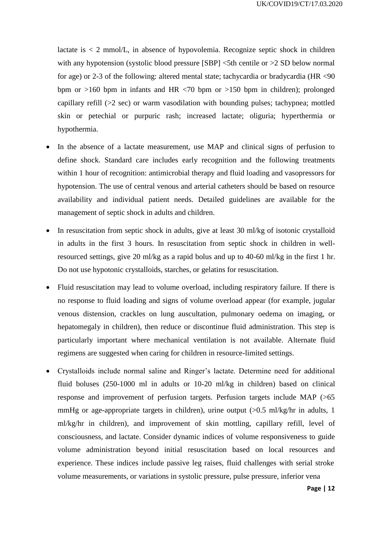lactate is  $\lt 2$  mmol/L, in absence of hypovolemia. Recognize septic shock in children with any hypotension (systolic blood pressure  $[SBP]$  <5th centile or >2 SD below normal for age) or 2-3 of the following: altered mental state; tachycardia or bradycardia (HR <90 bpm or  $>160$  bpm in infants and HR  $< 70$  bpm or  $>150$  bpm in children); prolonged capillary refill (>2 sec) or warm vasodilation with bounding pulses; tachypnea; mottled skin or petechial or purpuric rash; increased lactate; oliguria; hyperthermia or hypothermia.

- In the absence of a lactate measurement, use MAP and clinical signs of perfusion to define shock. Standard care includes early recognition and the following treatments within 1 hour of recognition: antimicrobial therapy and fluid loading and vasopressors for hypotension. The use of central venous and arterial catheters should be based on resource availability and individual patient needs. Detailed guidelines are available for the management of septic shock in adults and children.
- In resuscitation from septic shock in adults, give at least 30 ml/kg of isotonic crystalloid in adults in the first 3 hours. In resuscitation from septic shock in children in wellresourced settings, give 20 ml/kg as a rapid bolus and up to 40-60 ml/kg in the first 1 hr. Do not use hypotonic crystalloids, starches, or gelatins for resuscitation.
- Fluid resuscitation may lead to volume overload, including respiratory failure. If there is no response to fluid loading and signs of volume overload appear (for example, jugular venous distension, crackles on lung auscultation, pulmonary oedema on imaging, or hepatomegaly in children), then reduce or discontinue fluid administration. This step is particularly important where mechanical ventilation is not available. Alternate fluid regimens are suggested when caring for children in resource-limited settings.
- Crystalloids include normal saline and Ringer's lactate. Determine need for additional fluid boluses (250-1000 ml in adults or 10-20 ml/kg in children) based on clinical response and improvement of perfusion targets. Perfusion targets include MAP (>65 mmHg or age-appropriate targets in children), urine output  $(0.5 \text{ ml/kg/hr}$  in adults, 1 ml/kg/hr in children), and improvement of skin mottling, capillary refill, level of consciousness, and lactate. Consider dynamic indices of volume responsiveness to guide volume administration beyond initial resuscitation based on local resources and experience. These indices include passive leg raises, fluid challenges with serial stroke volume measurements, or variations in systolic pressure, pulse pressure, inferior vena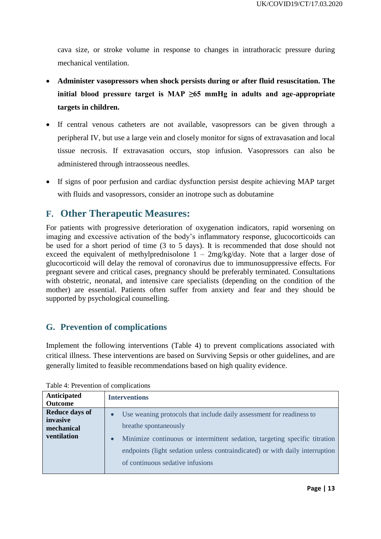cava size, or stroke volume in response to changes in intrathoracic pressure during mechanical ventilation.

- **Administer vasopressors when shock persists during or after fluid resuscitation. The initial blood pressure target is MAP ≥65 mmHg in adults and age-appropriate targets in children.**
- If central venous catheters are not available, vasopressors can be given through a peripheral IV, but use a large vein and closely monitor for signs of extravasation and local tissue necrosis. If extravasation occurs, stop infusion. Vasopressors can also be administered through intraosseous needles.
- If signs of poor perfusion and cardiac dysfunction persist despite achieving MAP target with fluids and vasopressors, consider an inotrope such as dobutamine

## **F. Other Therapeutic Measures:**

For patients with progressive deterioration of oxygenation indicators, rapid worsening on imaging and excessive activation of the body's inflammatory response, glucocorticoids can be used for a short period of time (3 to 5 days). It is recommended that dose should not exceed the equivalent of methylprednisolone  $1 - 2$ mg/kg/day. Note that a larger dose of glucocorticoid will delay the removal of coronavirus due to immunosuppressive effects. For pregnant severe and critical cases, pregnancy should be preferably terminated. Consultations with obstetric, neonatal, and intensive care specialists (depending on the condition of the mother) are essential. Patients often suffer from anxiety and fear and they should be supported by psychological counselling.

#### **G. Prevention of complications**

Implement the following interventions (Table 4) to prevent complications associated with critical illness. These interventions are based on Surviving Sepsis or other guidelines, and are generally limited to feasible recommendations based on high quality evidence.

| <b>Anticipated</b><br><b>Outcome</b>                                  | <b>Interventions</b>                                                                                                                                                                                                                                                                                                      |
|-----------------------------------------------------------------------|---------------------------------------------------------------------------------------------------------------------------------------------------------------------------------------------------------------------------------------------------------------------------------------------------------------------------|
| <b>Reduce days of</b><br>invasive<br>mechanical<br><b>ventilation</b> | Use weaning protocols that include daily assessment for readiness to<br>$\bullet$<br>breathe spontaneously<br>Minimize continuous or intermittent sedation, targeting specific titration<br>$\bullet$<br>endpoints (light sedation unless contraindicated) or with daily interruption<br>of continuous sedative infusions |

Table 4: Prevention of complications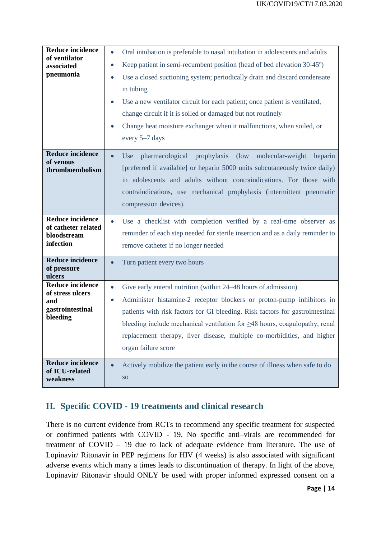| <b>Reduce incidence</b><br>of ventilator<br>associated<br>pneumonia                | Oral intubation is preferable to nasal intubation in adolescents and adults<br>$\bullet$<br>Keep patient in semi-recumbent position (head of bed elevation 30-45°)<br>$\bullet$<br>Use a closed suctioning system; periodically drain and discard condensate<br>$\bullet$<br>in tubing<br>Use a new ventilator circuit for each patient; once patient is ventilated,<br>$\bullet$<br>change circuit if it is soiled or damaged but not routinely<br>Change heat moisture exchanger when it malfunctions, when soiled, or<br>every 5–7 days |
|------------------------------------------------------------------------------------|--------------------------------------------------------------------------------------------------------------------------------------------------------------------------------------------------------------------------------------------------------------------------------------------------------------------------------------------------------------------------------------------------------------------------------------------------------------------------------------------------------------------------------------------|
| <b>Reduce incidence</b><br>of venous<br>thromboembolism                            | pharmacological<br>prophylaxis (low<br>molecular-weight<br>Use<br>heparin<br>$\bullet$<br>[preferred if available] or heparin 5000 units subcutaneously twice daily)<br>in adolescents and adults without contraindications. For those with<br>contraindications, use mechanical prophylaxis (intermittent pneumatic<br>compression devices).                                                                                                                                                                                              |
| <b>Reduce incidence</b><br>of catheter related<br>bloodstream<br>infection         | Use a checklist with completion verified by a real-time observer as<br>$\bullet$<br>reminder of each step needed for sterile insertion and as a daily reminder to<br>remove catheter if no longer needed                                                                                                                                                                                                                                                                                                                                   |
| <b>Reduce incidence</b><br>of pressure<br>ulcers                                   | Turn patient every two hours<br>$\bullet$                                                                                                                                                                                                                                                                                                                                                                                                                                                                                                  |
| <b>Reduce incidence</b><br>of stress ulcers<br>and<br>gastrointestinal<br>bleeding | Give early enteral nutrition (within 24–48 hours of admission)<br>$\bullet$<br>Administer histamine-2 receptor blockers or proton-pump inhibitors in<br>$\bullet$<br>patients with risk factors for GI bleeding. Risk factors for gastrointestinal<br>bleeding include mechanical ventilation for $\geq$ 48 hours, coagulopathy, renal<br>replacement therapy, liver disease, multiple co-morbidities, and higher<br>organ failure score                                                                                                   |
| <b>Reduce incidence</b><br>of ICU-related<br>weakness                              | Actively mobilize the patient early in the course of illness when safe to do<br>$\bullet$<br><b>SO</b>                                                                                                                                                                                                                                                                                                                                                                                                                                     |

## **H. Specific COVID - 19 treatments and clinical research**

There is no current evidence from RCTs to recommend any specific treatment for suspected or confirmed patients with COVID - 19. No specific anti–virals are recommended for treatment of COVID – 19 due to lack of adequate evidence from literature. The use of Lopinavir/ Ritonavir in PEP regimens for HIV (4 weeks) is also associated with significant adverse events which many a times leads to discontinuation of therapy. In light of the above, Lopinavir/ Ritonavir should ONLY be used with proper informed expressed consent on a